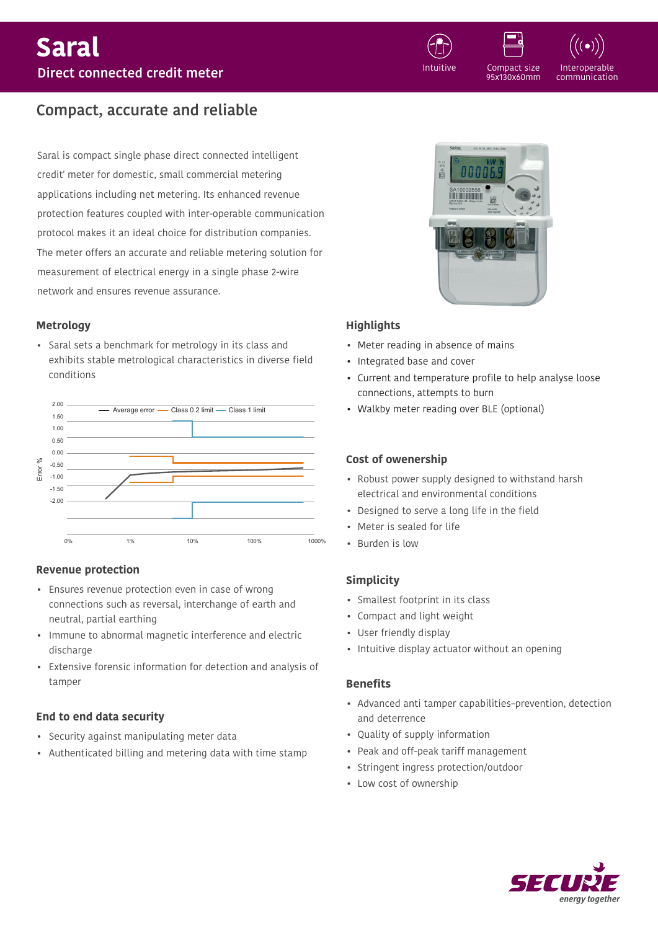

Interoperable communication

# **Compact, accurate and reliable**

Saral is compact single phase direct connected intelligent credit' meter for domestic, small commercial metering applications including net metering. Its enhanced revenue protection features coupled with inter-operable communication protocol makes it an ideal choice for distribution companies. The meter offers an accurate and reliable metering solution for measurement of electrical energy in a single phase 2-wire network and ensures revenue assurance.

### **Metrology**

• Saral sets a benchmark for metrology in its class and exhibits stable metrological characteristics in diverse field conditions



# **Revenue protection**

- Ensures revenue protection even in case of wrong connections such as reversal, interchange of earth and neutral, partial earthing
- Immune to abnormal magnetic interference and electric discharge
- Extensive forensic information for detection and analysis of tamper

# **End to end data security**

- Security against manipulating meter data
- Authenticated billing and metering data with time stamp



Compact size 95x130x60mm

# **Highlights**

- Meter reading in absence of mains
- Integrated base and cover
- Current and temperature profile to help analyse loose connections, attempts to burn
- Walkby meter reading over BLE (optional)

## **Cost of owenership**

- Robust power supply designed to withstand harsh electrical and environmental conditions
- Designed to serve a long life in the field
- Meter is sealed for life
- Burden is low

# **Simplicity**

- Smallest footprint in its class
- Compact and light weight
- User friendly display
- Intuitive display actuator without an opening

### **Benefits**

- Advanced anti tamper capabilities-prevention, detection and deterrence
- Ouality of supply information
- Peak and off-peak tariff management
- Stringent ingress protection/outdoor
- Low cost of ownership